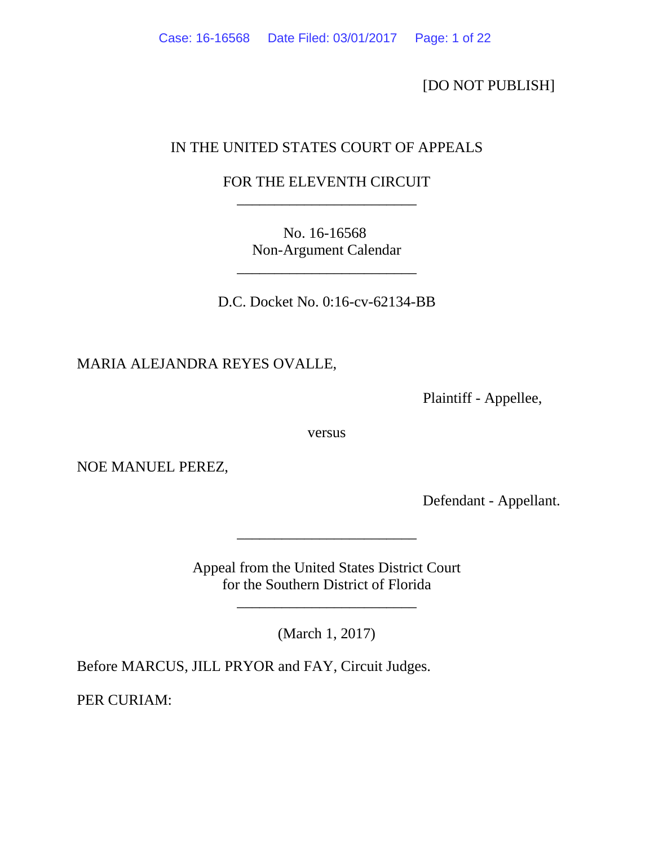[DO NOT PUBLISH]

# IN THE UNITED STATES COURT OF APPEALS

# FOR THE ELEVENTH CIRCUIT \_\_\_\_\_\_\_\_\_\_\_\_\_\_\_\_\_\_\_\_\_\_\_\_

No. 16-16568 Non-Argument Calendar

\_\_\_\_\_\_\_\_\_\_\_\_\_\_\_\_\_\_\_\_\_\_\_\_

D.C. Docket No. 0:16-cv-62134-BB

MARIA ALEJANDRA REYES OVALLE,

Plaintiff - Appellee,

versus

NOE MANUEL PEREZ,

Defendant - Appellant.

Appeal from the United States District Court for the Southern District of Florida

\_\_\_\_\_\_\_\_\_\_\_\_\_\_\_\_\_\_\_\_\_\_\_\_

(March 1, 2017)

\_\_\_\_\_\_\_\_\_\_\_\_\_\_\_\_\_\_\_\_\_\_\_\_

Before MARCUS, JILL PRYOR and FAY, Circuit Judges.

PER CURIAM: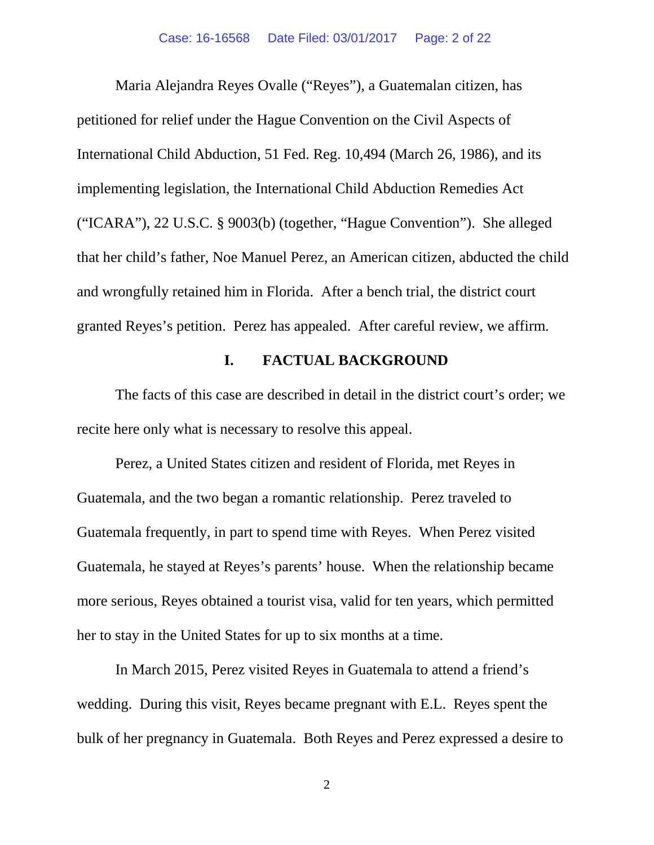Maria Alejandra Reyes Ovalle ("Reyes"), a Guatemalan citizen, has petitioned for relief under the Hague Convention on the Civil Aspects of International Child Abduction, 51 Fed. Reg. 10,494 (March 26, 1986), and its implementing legislation, the International Child Abduction Remedies Act ("ICARA"), 22 U.S.C. § 9003(b) (together, "Hague Convention"). She alleged that her child's father, Noe Manuel Perez, an American citizen, abducted the child and wrongfully retained him in Florida. After a bench trial, the district court granted Reyes's petition. Perez has appealed. After careful review, we affirm.

### **I. FACTUAL BACKGROUND**

The facts of this case are described in detail in the district court's order; we recite here only what is necessary to resolve this appeal.

Perez, a United States citizen and resident of Florida, met Reyes in Guatemala, and the two began a romantic relationship. Perez traveled to Guatemala frequently, in part to spend time with Reyes. When Perez visited Guatemala, he stayed at Reyes's parents' house. When the relationship became more serious, Reyes obtained a tourist visa, valid for ten years, which permitted her to stay in the United States for up to six months at a time.

In March 2015, Perez visited Reyes in Guatemala to attend a friend's wedding. During this visit, Reyes became pregnant with E.L. Reyes spent the bulk of her pregnancy in Guatemala. Both Reyes and Perez expressed a desire to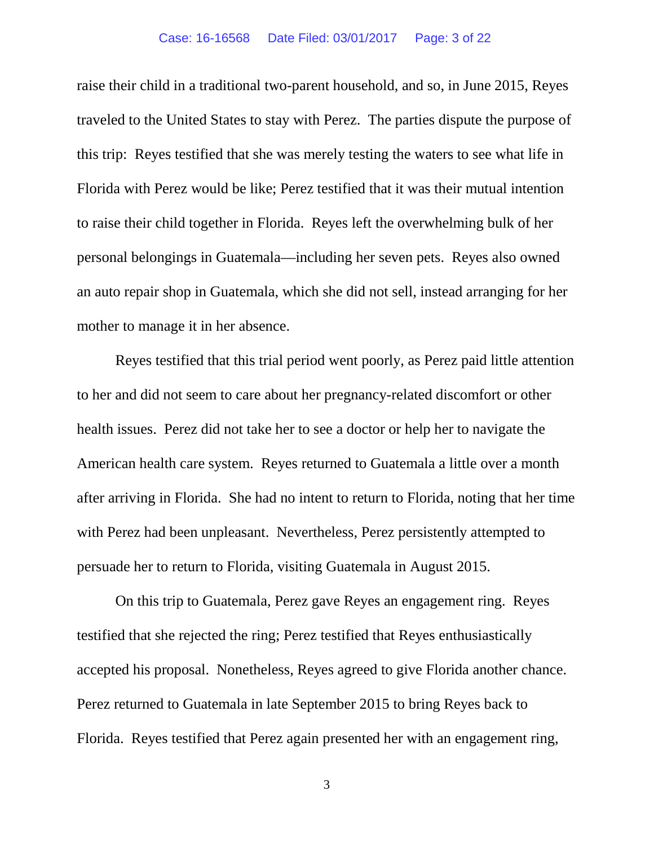#### Case: 16-16568 Date Filed: 03/01/2017 Page: 3 of 22

raise their child in a traditional two-parent household, and so, in June 2015, Reyes traveled to the United States to stay with Perez. The parties dispute the purpose of this trip: Reyes testified that she was merely testing the waters to see what life in Florida with Perez would be like; Perez testified that it was their mutual intention to raise their child together in Florida. Reyes left the overwhelming bulk of her personal belongings in Guatemala—including her seven pets. Reyes also owned an auto repair shop in Guatemala, which she did not sell, instead arranging for her mother to manage it in her absence.

Reyes testified that this trial period went poorly, as Perez paid little attention to her and did not seem to care about her pregnancy-related discomfort or other health issues. Perez did not take her to see a doctor or help her to navigate the American health care system. Reyes returned to Guatemala a little over a month after arriving in Florida. She had no intent to return to Florida, noting that her time with Perez had been unpleasant. Nevertheless, Perez persistently attempted to persuade her to return to Florida, visiting Guatemala in August 2015.

On this trip to Guatemala, Perez gave Reyes an engagement ring. Reyes testified that she rejected the ring; Perez testified that Reyes enthusiastically accepted his proposal. Nonetheless, Reyes agreed to give Florida another chance. Perez returned to Guatemala in late September 2015 to bring Reyes back to Florida. Reyes testified that Perez again presented her with an engagement ring,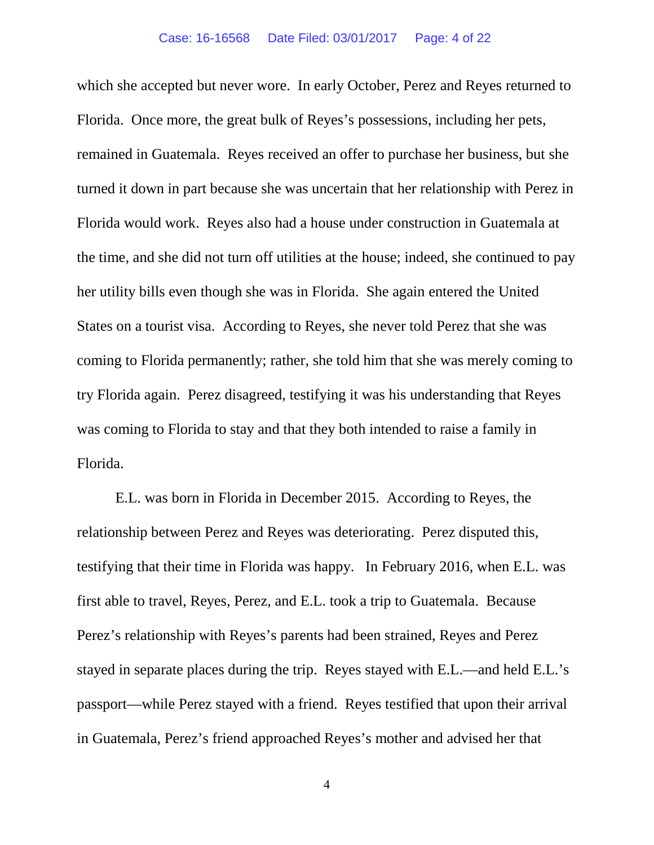which she accepted but never wore. In early October, Perez and Reyes returned to Florida. Once more, the great bulk of Reyes's possessions, including her pets, remained in Guatemala. Reyes received an offer to purchase her business, but she turned it down in part because she was uncertain that her relationship with Perez in Florida would work. Reyes also had a house under construction in Guatemala at the time, and she did not turn off utilities at the house; indeed, she continued to pay her utility bills even though she was in Florida. She again entered the United States on a tourist visa. According to Reyes, she never told Perez that she was coming to Florida permanently; rather, she told him that she was merely coming to try Florida again. Perez disagreed, testifying it was his understanding that Reyes was coming to Florida to stay and that they both intended to raise a family in Florida.

E.L. was born in Florida in December 2015. According to Reyes, the relationship between Perez and Reyes was deteriorating. Perez disputed this, testifying that their time in Florida was happy. In February 2016, when E.L. was first able to travel, Reyes, Perez, and E.L. took a trip to Guatemala. Because Perez's relationship with Reyes's parents had been strained, Reyes and Perez stayed in separate places during the trip. Reyes stayed with E.L.—and held E.L.'s passport—while Perez stayed with a friend. Reyes testified that upon their arrival in Guatemala, Perez's friend approached Reyes's mother and advised her that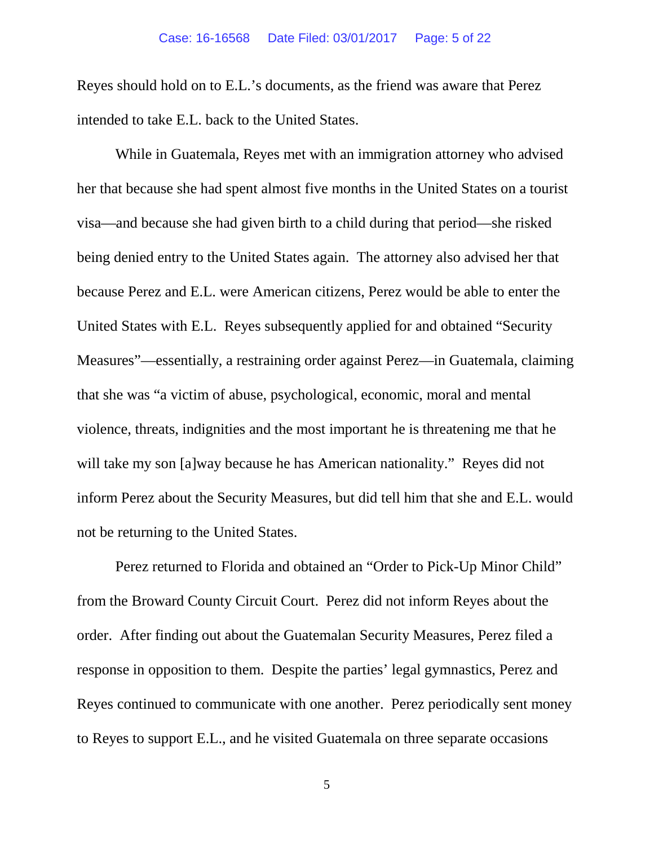Reyes should hold on to E.L.'s documents, as the friend was aware that Perez intended to take E.L. back to the United States.

While in Guatemala, Reyes met with an immigration attorney who advised her that because she had spent almost five months in the United States on a tourist visa—and because she had given birth to a child during that period—she risked being denied entry to the United States again. The attorney also advised her that because Perez and E.L. were American citizens, Perez would be able to enter the United States with E.L. Reyes subsequently applied for and obtained "Security Measures"—essentially, a restraining order against Perez—in Guatemala, claiming that she was "a victim of abuse, psychological, economic, moral and mental violence, threats, indignities and the most important he is threatening me that he will take my son [a]way because he has American nationality." Reyes did not inform Perez about the Security Measures, but did tell him that she and E.L. would not be returning to the United States.

Perez returned to Florida and obtained an "Order to Pick-Up Minor Child" from the Broward County Circuit Court. Perez did not inform Reyes about the order. After finding out about the Guatemalan Security Measures, Perez filed a response in opposition to them. Despite the parties' legal gymnastics, Perez and Reyes continued to communicate with one another. Perez periodically sent money to Reyes to support E.L., and he visited Guatemala on three separate occasions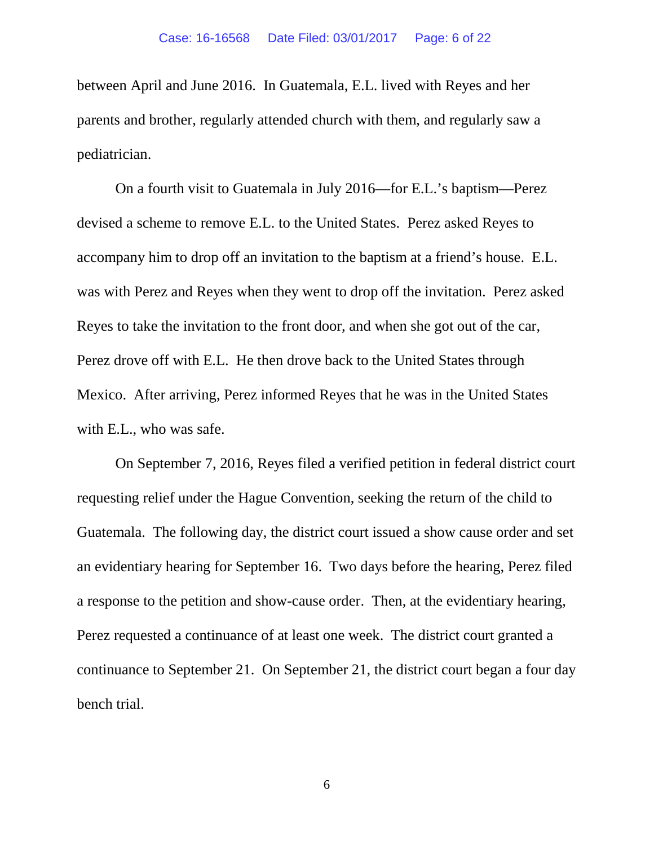between April and June 2016. In Guatemala, E.L. lived with Reyes and her parents and brother, regularly attended church with them, and regularly saw a pediatrician.

On a fourth visit to Guatemala in July 2016—for E.L.'s baptism—Perez devised a scheme to remove E.L. to the United States. Perez asked Reyes to accompany him to drop off an invitation to the baptism at a friend's house. E.L. was with Perez and Reyes when they went to drop off the invitation. Perez asked Reyes to take the invitation to the front door, and when she got out of the car, Perez drove off with E.L. He then drove back to the United States through Mexico. After arriving, Perez informed Reyes that he was in the United States with E.L., who was safe.

On September 7, 2016, Reyes filed a verified petition in federal district court requesting relief under the Hague Convention, seeking the return of the child to Guatemala. The following day, the district court issued a show cause order and set an evidentiary hearing for September 16. Two days before the hearing, Perez filed a response to the petition and show-cause order. Then, at the evidentiary hearing, Perez requested a continuance of at least one week. The district court granted a continuance to September 21. On September 21, the district court began a four day bench trial.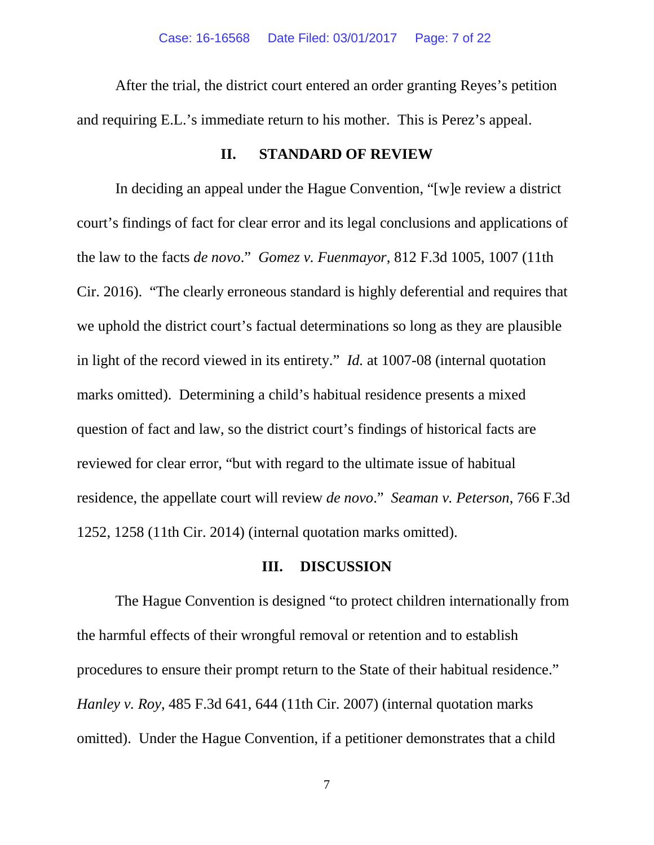After the trial, the district court entered an order granting Reyes's petition and requiring E.L.'s immediate return to his mother. This is Perez's appeal.

#### **II. STANDARD OF REVIEW**

In deciding an appeal under the Hague Convention, "[w]e review a district court's findings of fact for clear error and its legal conclusions and applications of the law to the facts *de novo*." *Gomez v. Fuenmayor*, 812 F.3d 1005, 1007 (11th Cir. 2016). "The clearly erroneous standard is highly deferential and requires that we uphold the district court's factual determinations so long as they are plausible in light of the record viewed in its entirety." *Id.* at 1007-08 (internal quotation marks omitted). Determining a child's habitual residence presents a mixed question of fact and law, so the district court's findings of historical facts are reviewed for clear error, "but with regard to the ultimate issue of habitual residence, the appellate court will review *de novo*." *Seaman v. Peterson*, 766 F.3d 1252, 1258 (11th Cir. 2014) (internal quotation marks omitted).

### **III. DISCUSSION**

The Hague Convention is designed "to protect children internationally from the harmful effects of their wrongful removal or retention and to establish procedures to ensure their prompt return to the State of their habitual residence." *Hanley v. Roy*, 485 F.3d 641, 644 (11th Cir. 2007) (internal quotation marks omitted). Under the Hague Convention, if a petitioner demonstrates that a child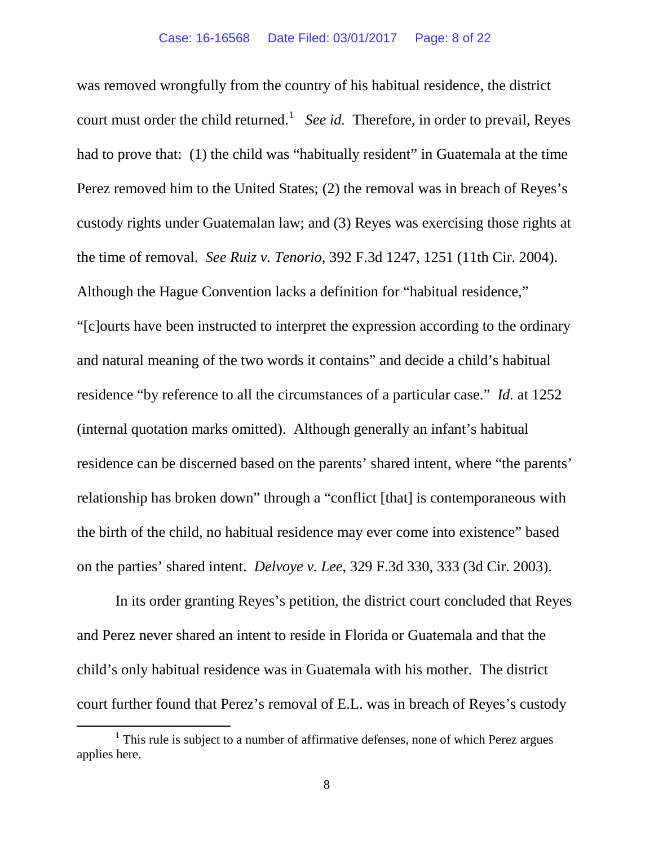was removed wrongfully from the country of his habitual residence, the district court must order the child returned.<sup>[1](#page-7-0)</sup> *See id.* Therefore, in order to prevail, Reyes had to prove that: (1) the child was "habitually resident" in Guatemala at the time Perez removed him to the United States; (2) the removal was in breach of Reyes's custody rights under Guatemalan law; and (3) Reyes was exercising those rights at the time of removal. *See Ruiz v. Tenorio*, 392 F.3d 1247, 1251 (11th Cir. 2004). Although the Hague Convention lacks a definition for "habitual residence," "[c]ourts have been instructed to interpret the expression according to the ordinary and natural meaning of the two words it contains" and decide a child's habitual residence "by reference to all the circumstances of a particular case." *Id.* at 1252 (internal quotation marks omitted). Although generally an infant's habitual residence can be discerned based on the parents' shared intent, where "the parents' relationship has broken down" through a "conflict [that] is contemporaneous with the birth of the child, no habitual residence may ever come into existence" based on the parties' shared intent. *Delvoye v. Lee*, 329 F.3d 330, 333 (3d Cir. 2003).

In its order granting Reyes's petition, the district court concluded that Reyes and Perez never shared an intent to reside in Florida or Guatemala and that the child's only habitual residence was in Guatemala with his mother. The district court further found that Perez's removal of E.L. was in breach of Reyes's custody

<span id="page-7-0"></span> $1$  This rule is subject to a number of affirmative defenses, none of which Perez argues applies here.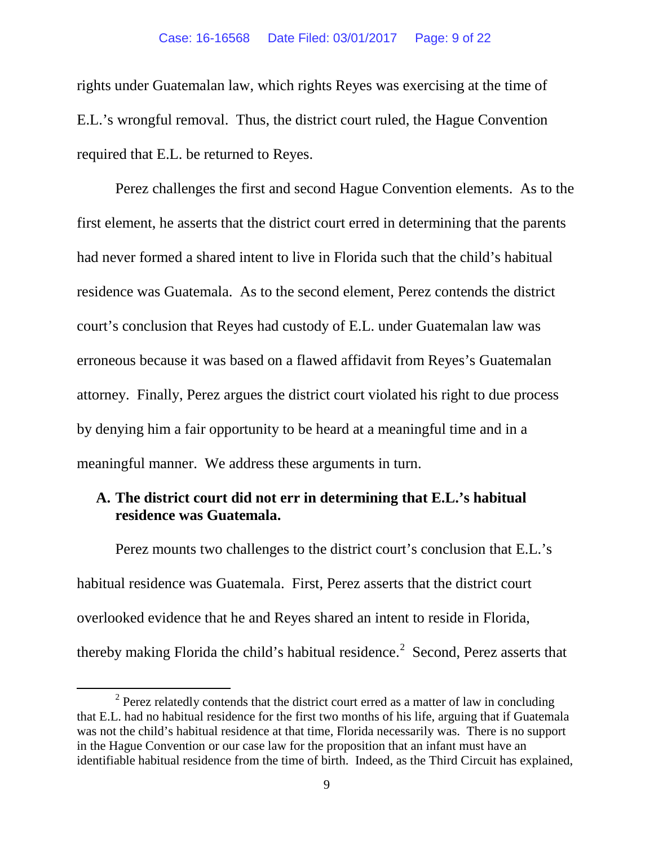rights under Guatemalan law, which rights Reyes was exercising at the time of E.L.'s wrongful removal. Thus, the district court ruled, the Hague Convention required that E.L. be returned to Reyes.

Perez challenges the first and second Hague Convention elements. As to the first element, he asserts that the district court erred in determining that the parents had never formed a shared intent to live in Florida such that the child's habitual residence was Guatemala. As to the second element, Perez contends the district court's conclusion that Reyes had custody of E.L. under Guatemalan law was erroneous because it was based on a flawed affidavit from Reyes's Guatemalan attorney. Finally, Perez argues the district court violated his right to due process by denying him a fair opportunity to be heard at a meaningful time and in a meaningful manner. We address these arguments in turn.

## **A. The district court did not err in determining that E.L.'s habitual residence was Guatemala.**

Perez mounts two challenges to the district court's conclusion that E.L.'s habitual residence was Guatemala. First, Perez asserts that the district court overlooked evidence that he and Reyes shared an intent to reside in Florida, thereby making Florida the child's habitual residence.<sup>[2](#page-8-0)</sup> Second, Perez asserts that

<span id="page-8-0"></span> $2$  Perez relatedly contends that the district court erred as a matter of law in concluding that E.L. had no habitual residence for the first two months of his life, arguing that if Guatemala was not the child's habitual residence at that time, Florida necessarily was. There is no support in the Hague Convention or our case law for the proposition that an infant must have an identifiable habitual residence from the time of birth. Indeed, as the Third Circuit has explained,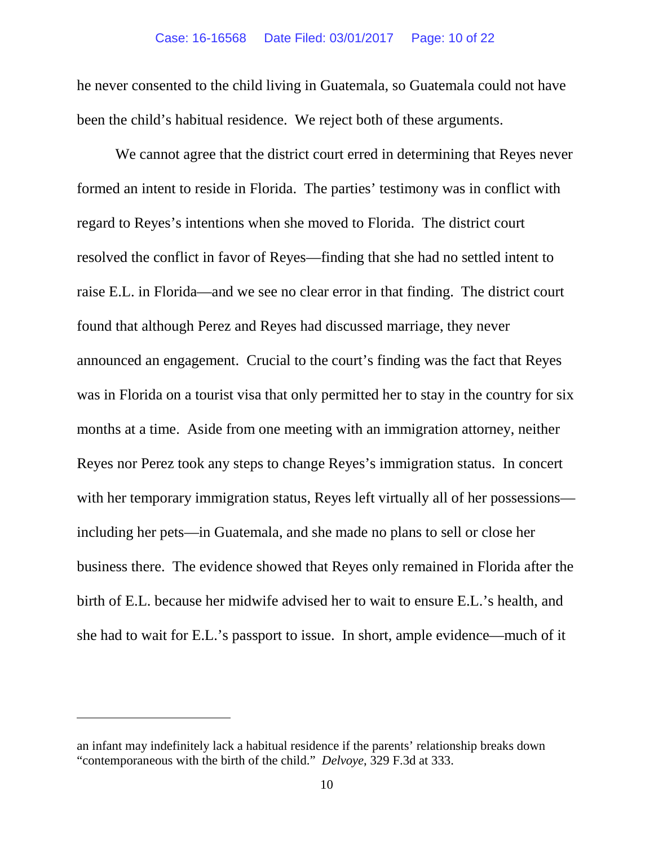he never consented to the child living in Guatemala, so Guatemala could not have been the child's habitual residence. We reject both of these arguments.

We cannot agree that the district court erred in determining that Reyes never formed an intent to reside in Florida. The parties' testimony was in conflict with regard to Reyes's intentions when she moved to Florida. The district court resolved the conflict in favor of Reyes—finding that she had no settled intent to raise E.L. in Florida—and we see no clear error in that finding. The district court found that although Perez and Reyes had discussed marriage, they never announced an engagement. Crucial to the court's finding was the fact that Reyes was in Florida on a tourist visa that only permitted her to stay in the country for six months at a time. Aside from one meeting with an immigration attorney, neither Reyes nor Perez took any steps to change Reyes's immigration status. In concert with her temporary immigration status, Reyes left virtually all of her possessions including her pets—in Guatemala, and she made no plans to sell or close her business there. The evidence showed that Reyes only remained in Florida after the birth of E.L. because her midwife advised her to wait to ensure E.L.'s health, and she had to wait for E.L.'s passport to issue. In short, ample evidence—much of it

 $\overline{a}$ 

an infant may indefinitely lack a habitual residence if the parents' relationship breaks down "contemporaneous with the birth of the child." *Delvoye*, 329 F.3d at 333.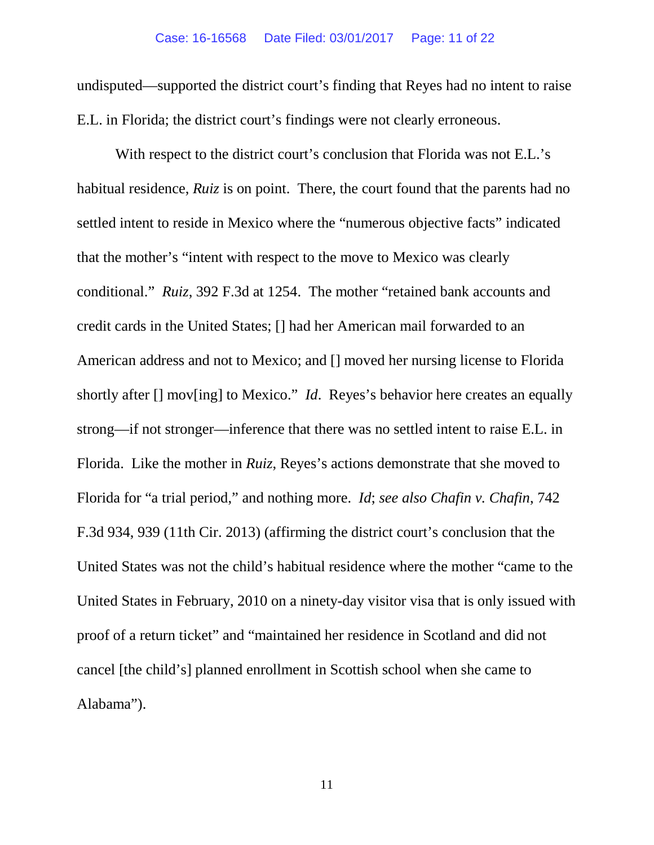undisputed—supported the district court's finding that Reyes had no intent to raise E.L. in Florida; the district court's findings were not clearly erroneous.

With respect to the district court's conclusion that Florida was not E.L.'s habitual residence, *Ruiz* is on point. There, the court found that the parents had no settled intent to reside in Mexico where the "numerous objective facts" indicated that the mother's "intent with respect to the move to Mexico was clearly conditional." *Ruiz*, 392 F.3d at 1254. The mother "retained bank accounts and credit cards in the United States; [] had her American mail forwarded to an American address and not to Mexico; and [] moved her nursing license to Florida shortly after [] mov[ing] to Mexico." *Id*. Reyes's behavior here creates an equally strong—if not stronger—inference that there was no settled intent to raise E.L. in Florida. Like the mother in *Ruiz*, Reyes's actions demonstrate that she moved to Florida for "a trial period," and nothing more. *Id*; *see also Chafin v. Chafin*, 742 F.3d 934, 939 (11th Cir. 2013) (affirming the district court's conclusion that the United States was not the child's habitual residence where the mother "came to the United States in February, 2010 on a ninety-day visitor visa that is only issued with proof of a return ticket" and "maintained her residence in Scotland and did not cancel [the child's] planned enrollment in Scottish school when she came to Alabama").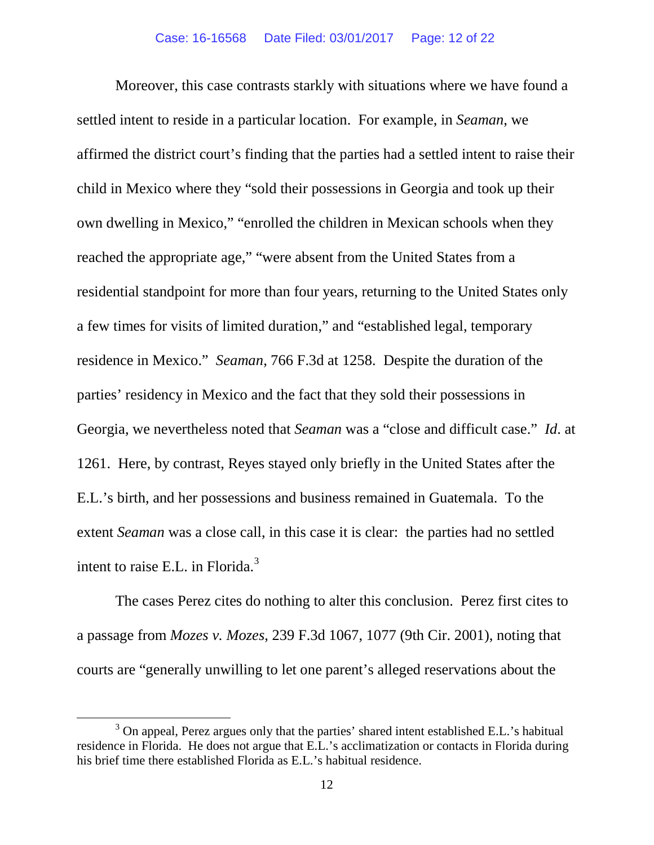Moreover, this case contrasts starkly with situations where we have found a settled intent to reside in a particular location. For example, in *Seaman*, we affirmed the district court's finding that the parties had a settled intent to raise their child in Mexico where they "sold their possessions in Georgia and took up their own dwelling in Mexico," "enrolled the children in Mexican schools when they reached the appropriate age," "were absent from the United States from a residential standpoint for more than four years, returning to the United States only a few times for visits of limited duration," and "established legal, temporary residence in Mexico." *Seaman*, 766 F.3d at 1258. Despite the duration of the parties' residency in Mexico and the fact that they sold their possessions in Georgia, we nevertheless noted that *Seaman* was a "close and difficult case." *Id*. at 1261. Here, by contrast, Reyes stayed only briefly in the United States after the E.L.'s birth, and her possessions and business remained in Guatemala. To the extent *Seaman* was a close call, in this case it is clear: the parties had no settled intent to raise E.L. in Florida.[3](#page-11-0)

The cases Perez cites do nothing to alter this conclusion. Perez first cites to a passage from *Mozes v. Mozes*, 239 F.3d 1067, 1077 (9th Cir. 2001), noting that courts are "generally unwilling to let one parent's alleged reservations about the

<span id="page-11-0"></span><sup>&</sup>lt;sup>3</sup> On appeal, Perez argues only that the parties' shared intent established E.L.'s habitual residence in Florida. He does not argue that E.L.'s acclimatization or contacts in Florida during his brief time there established Florida as E.L.'s habitual residence.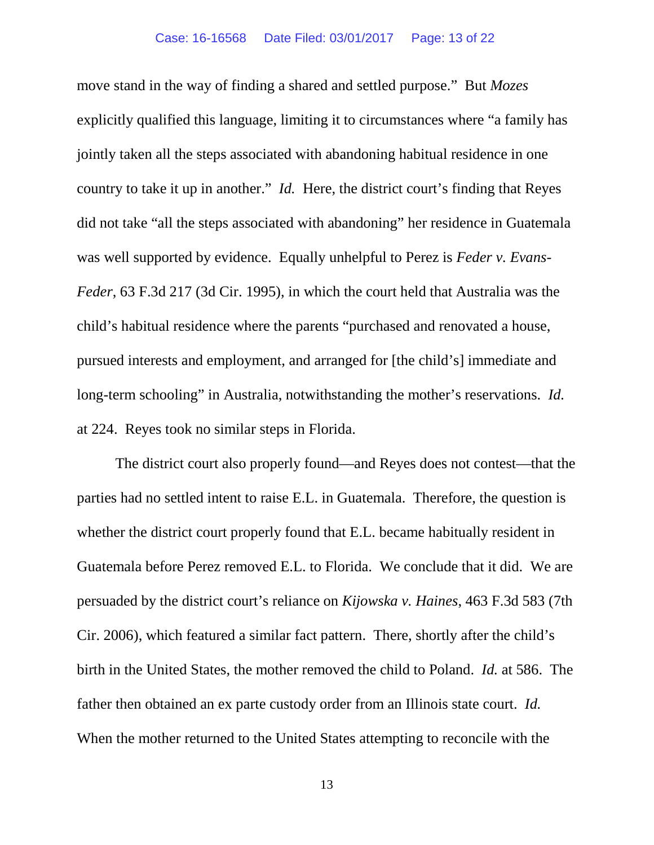move stand in the way of finding a shared and settled purpose." But *Mozes* explicitly qualified this language, limiting it to circumstances where "a family has jointly taken all the steps associated with abandoning habitual residence in one country to take it up in another." *Id.* Here, the district court's finding that Reyes did not take "all the steps associated with abandoning" her residence in Guatemala was well supported by evidence. Equally unhelpful to Perez is *Feder v. Evans-Feder*, 63 F.3d 217 (3d Cir. 1995), in which the court held that Australia was the child's habitual residence where the parents "purchased and renovated a house, pursued interests and employment, and arranged for [the child's] immediate and long-term schooling" in Australia, notwithstanding the mother's reservations. *Id.* at 224. Reyes took no similar steps in Florida.

The district court also properly found—and Reyes does not contest—that the parties had no settled intent to raise E.L. in Guatemala. Therefore, the question is whether the district court properly found that E.L. became habitually resident in Guatemala before Perez removed E.L. to Florida. We conclude that it did. We are persuaded by the district court's reliance on *Kijowska v. Haines*, 463 F.3d 583 (7th Cir. 2006), which featured a similar fact pattern. There, shortly after the child's birth in the United States, the mother removed the child to Poland. *Id.* at 586. The father then obtained an ex parte custody order from an Illinois state court. *Id.* When the mother returned to the United States attempting to reconcile with the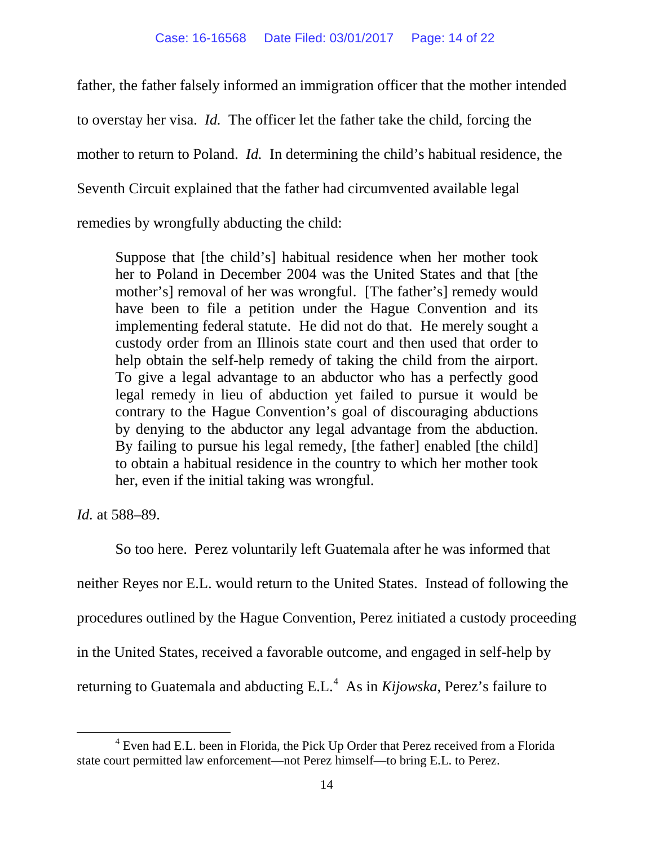father, the father falsely informed an immigration officer that the mother intended to overstay her visa. *Id.* The officer let the father take the child, forcing the mother to return to Poland. *Id.* In determining the child's habitual residence, the Seventh Circuit explained that the father had circumvented available legal remedies by wrongfully abducting the child:

Suppose that [the child's] habitual residence when her mother took her to Poland in December 2004 was the United States and that [the mother's] removal of her was wrongful. [The father's] remedy would have been to file a petition under the Hague Convention and its implementing federal statute. He did not do that. He merely sought a custody order from an Illinois state court and then used that order to help obtain the self-help remedy of taking the child from the airport. To give a legal advantage to an abductor who has a perfectly good legal remedy in lieu of abduction yet failed to pursue it would be contrary to the Hague Convention's goal of discouraging abductions by denying to the abductor any legal advantage from the abduction. By failing to pursue his legal remedy, [the father] enabled [the child] to obtain a habitual residence in the country to which her mother took her, even if the initial taking was wrongful.

*Id.* at 588–89.

So too here. Perez voluntarily left Guatemala after he was informed that neither Reyes nor E.L. would return to the United States. Instead of following the procedures outlined by the Hague Convention, Perez initiated a custody proceeding in the United States, received a favorable outcome, and engaged in self-help by returning to Guatemala and abducting E.L.<sup>[4](#page-13-0)</sup> As in *Kijowska*, Perez's failure to

<span id="page-13-0"></span> $4$  Even had E.L. been in Florida, the Pick Up Order that Perez received from a Florida state court permitted law enforcement—not Perez himself—to bring E.L. to Perez.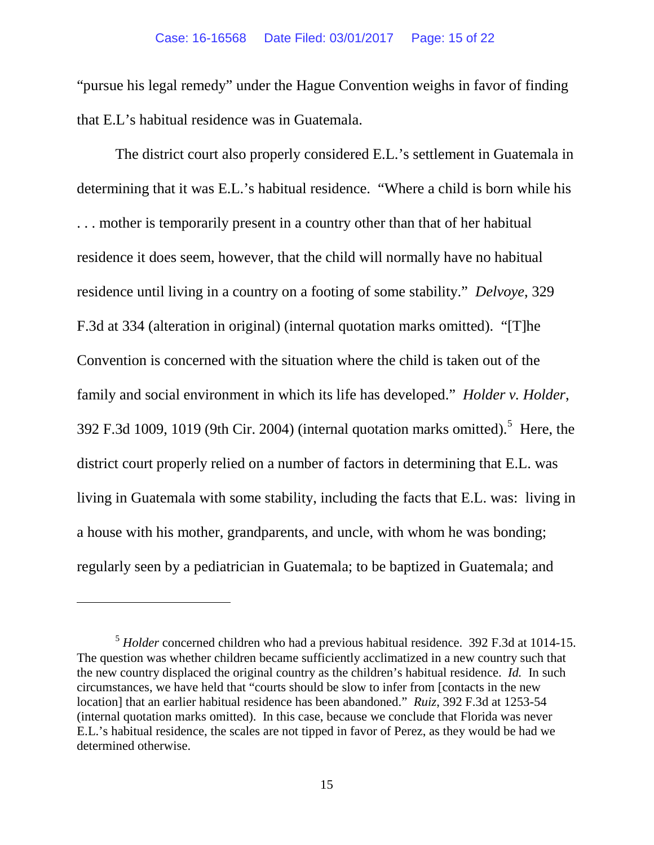"pursue his legal remedy" under the Hague Convention weighs in favor of finding that E.L's habitual residence was in Guatemala.

The district court also properly considered E.L.'s settlement in Guatemala in determining that it was E.L.'s habitual residence. "Where a child is born while his . . . mother is temporarily present in a country other than that of her habitual residence it does seem, however, that the child will normally have no habitual residence until living in a country on a footing of some stability." *Delvoye*, 329 F.3d at 334 (alteration in original) (internal quotation marks omitted). "[T]he Convention is concerned with the situation where the child is taken out of the family and social environment in which its life has developed." *Holder v. Holder*, 392 F.3d 1009, 1019 (9th Cir. 2004) (internal quotation marks omitted).<sup>[5](#page-14-0)</sup> Here, the district court properly relied on a number of factors in determining that E.L. was living in Guatemala with some stability, including the facts that E.L. was: living in a house with his mother, grandparents, and uncle, with whom he was bonding; regularly seen by a pediatrician in Guatemala; to be baptized in Guatemala; and

 $\overline{a}$ 

<span id="page-14-0"></span><sup>5</sup> *Holder* concerned children who had a previous habitual residence. 392 F.3d at 1014-15. The question was whether children became sufficiently acclimatized in a new country such that the new country displaced the original country as the children's habitual residence. *Id.* In such circumstances, we have held that "courts should be slow to infer from [contacts in the new location] that an earlier habitual residence has been abandoned." *Ruiz*, 392 F.3d at 1253-54 (internal quotation marks omitted). In this case, because we conclude that Florida was never E.L.'s habitual residence, the scales are not tipped in favor of Perez, as they would be had we determined otherwise.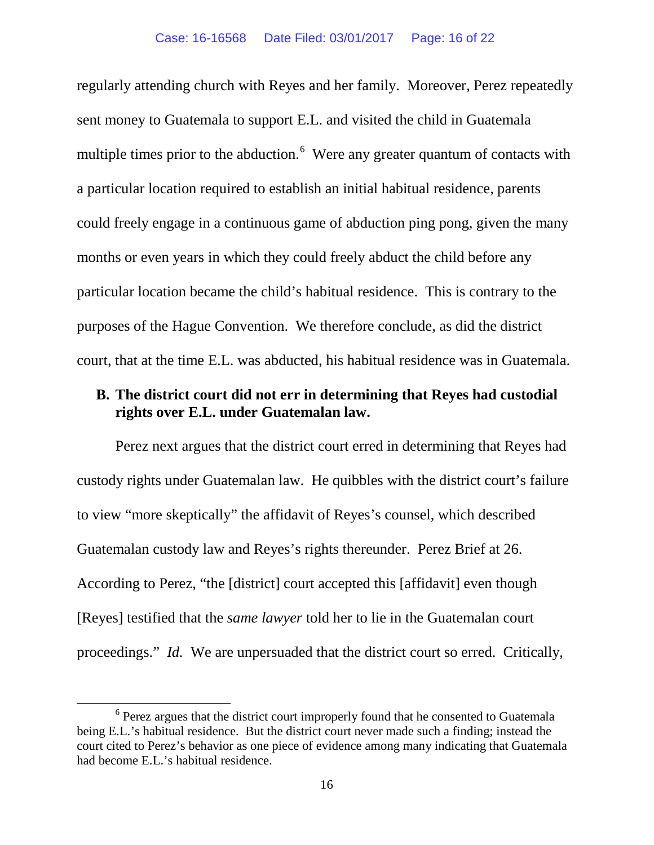regularly attending church with Reyes and her family. Moreover, Perez repeatedly sent money to Guatemala to support E.L. and visited the child in Guatemala multiple times prior to the abduction.<sup>[6](#page-15-0)</sup> Were any greater quantum of contacts with a particular location required to establish an initial habitual residence, parents could freely engage in a continuous game of abduction ping pong, given the many months or even years in which they could freely abduct the child before any particular location became the child's habitual residence. This is contrary to the purposes of the Hague Convention. We therefore conclude, as did the district court, that at the time E.L. was abducted, his habitual residence was in Guatemala.

### **B. The district court did not err in determining that Reyes had custodial rights over E.L. under Guatemalan law.**

Perez next argues that the district court erred in determining that Reyes had custody rights under Guatemalan law. He quibbles with the district court's failure to view "more skeptically" the affidavit of Reyes's counsel, which described Guatemalan custody law and Reyes's rights thereunder. Perez Brief at 26. According to Perez, "the [district] court accepted this [affidavit] even though [Reyes] testified that the *same lawyer* told her to lie in the Guatemalan court proceedings." *Id.* We are unpersuaded that the district court so erred. Critically,

<span id="page-15-0"></span><sup>&</sup>lt;sup>6</sup> Perez argues that the district court improperly found that he consented to Guatemala being E.L.'s habitual residence. But the district court never made such a finding; instead the court cited to Perez's behavior as one piece of evidence among many indicating that Guatemala had become E.L.'s habitual residence.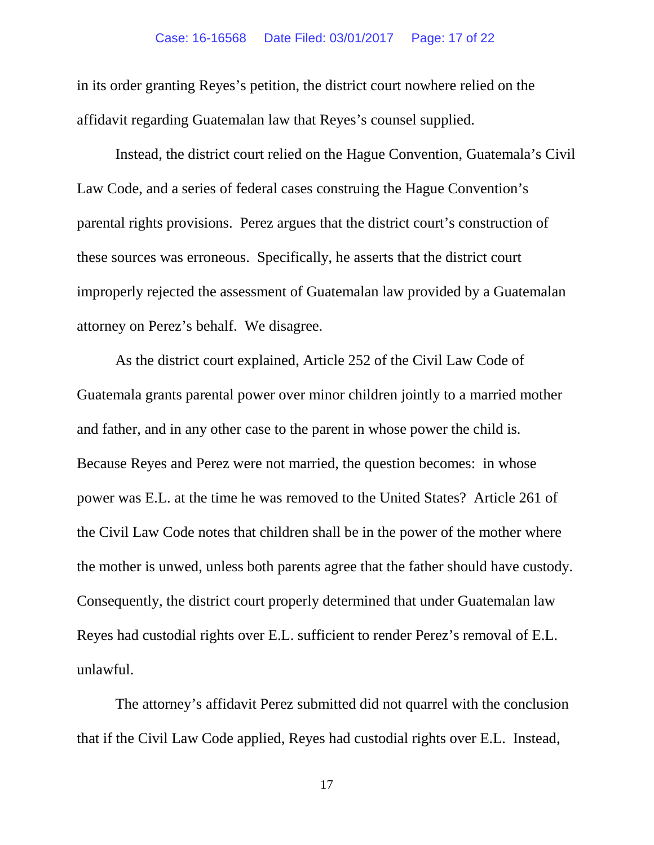in its order granting Reyes's petition, the district court nowhere relied on the affidavit regarding Guatemalan law that Reyes's counsel supplied.

Instead, the district court relied on the Hague Convention, Guatemala's Civil Law Code, and a series of federal cases construing the Hague Convention's parental rights provisions. Perez argues that the district court's construction of these sources was erroneous. Specifically, he asserts that the district court improperly rejected the assessment of Guatemalan law provided by a Guatemalan attorney on Perez's behalf. We disagree.

As the district court explained, Article 252 of the Civil Law Code of Guatemala grants parental power over minor children jointly to a married mother and father, and in any other case to the parent in whose power the child is. Because Reyes and Perez were not married, the question becomes: in whose power was E.L. at the time he was removed to the United States? Article 261 of the Civil Law Code notes that children shall be in the power of the mother where the mother is unwed, unless both parents agree that the father should have custody. Consequently, the district court properly determined that under Guatemalan law Reyes had custodial rights over E.L. sufficient to render Perez's removal of E.L. unlawful.

The attorney's affidavit Perez submitted did not quarrel with the conclusion that if the Civil Law Code applied, Reyes had custodial rights over E.L. Instead,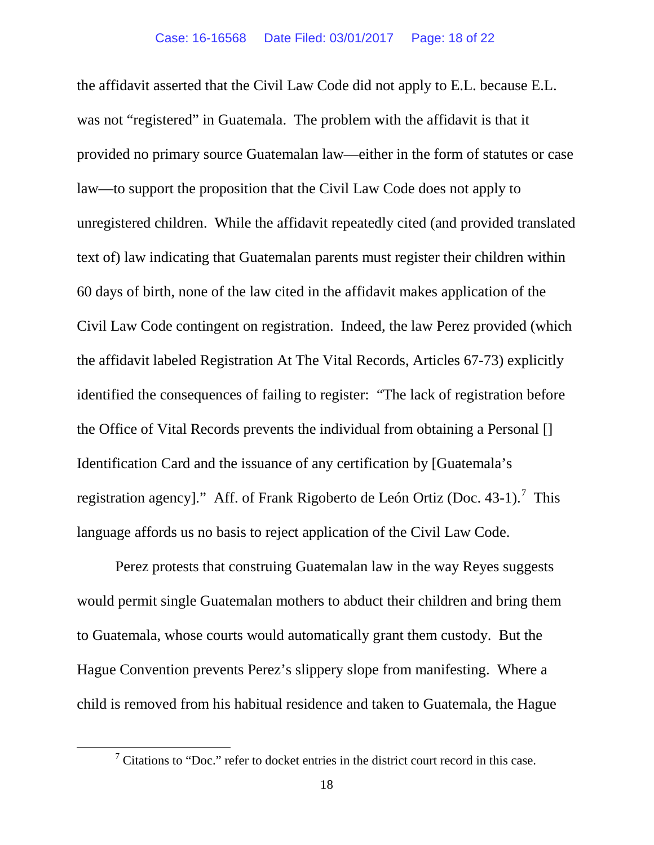the affidavit asserted that the Civil Law Code did not apply to E.L. because E.L. was not "registered" in Guatemala. The problem with the affidavit is that it provided no primary source Guatemalan law—either in the form of statutes or case law—to support the proposition that the Civil Law Code does not apply to unregistered children. While the affidavit repeatedly cited (and provided translated text of) law indicating that Guatemalan parents must register their children within 60 days of birth, none of the law cited in the affidavit makes application of the Civil Law Code contingent on registration. Indeed, the law Perez provided (which the affidavit labeled Registration At The Vital Records, Articles 67-73) explicitly identified the consequences of failing to register: "The lack of registration before the Office of Vital Records prevents the individual from obtaining a Personal [] Identification Card and the issuance of any certification by [Guatemala's registration agency]." Aff. of Frank Rigoberto de León Ortiz (Doc. 43-1).<sup>[7](#page-17-0)</sup> This language affords us no basis to reject application of the Civil Law Code.

Perez protests that construing Guatemalan law in the way Reyes suggests would permit single Guatemalan mothers to abduct their children and bring them to Guatemala, whose courts would automatically grant them custody. But the Hague Convention prevents Perez's slippery slope from manifesting. Where a child is removed from his habitual residence and taken to Guatemala, the Hague

<span id="page-17-0"></span> $\frac{7}{7}$  Citations to "Doc." refer to docket entries in the district court record in this case.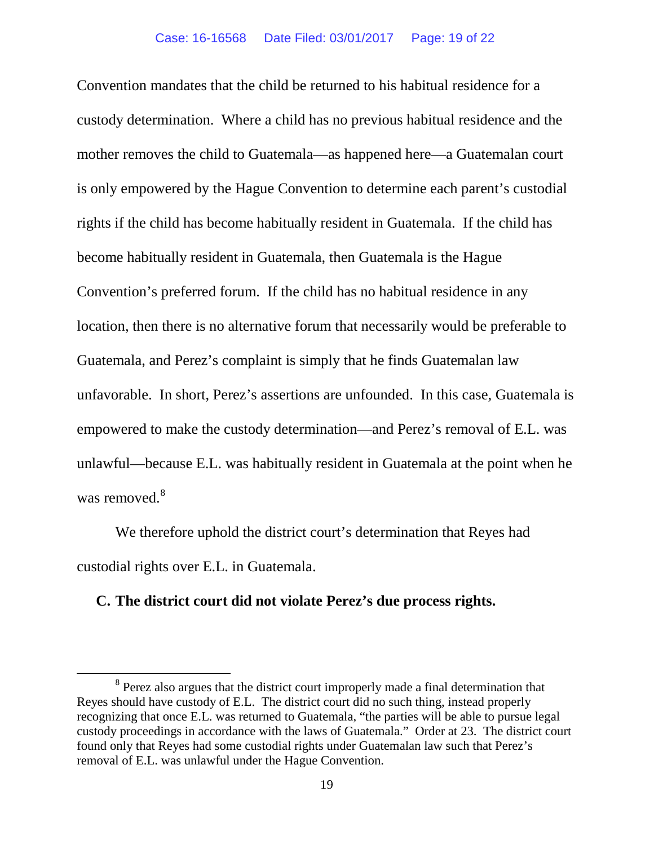Convention mandates that the child be returned to his habitual residence for a custody determination. Where a child has no previous habitual residence and the mother removes the child to Guatemala—as happened here—a Guatemalan court is only empowered by the Hague Convention to determine each parent's custodial rights if the child has become habitually resident in Guatemala. If the child has become habitually resident in Guatemala, then Guatemala is the Hague Convention's preferred forum. If the child has no habitual residence in any location, then there is no alternative forum that necessarily would be preferable to Guatemala, and Perez's complaint is simply that he finds Guatemalan law unfavorable. In short, Perez's assertions are unfounded. In this case, Guatemala is empowered to make the custody determination—and Perez's removal of E.L. was unlawful—because E.L. was habitually resident in Guatemala at the point when he was removed.<sup>[8](#page-18-0)</sup>

We therefore uphold the district court's determination that Reyes had custodial rights over E.L. in Guatemala.

### **C. The district court did not violate Perez's due process rights.**

<span id="page-18-0"></span><sup>&</sup>lt;sup>8</sup> Perez also argues that the district court improperly made a final determination that Reyes should have custody of E.L. The district court did no such thing, instead properly recognizing that once E.L. was returned to Guatemala, "the parties will be able to pursue legal custody proceedings in accordance with the laws of Guatemala." Order at 23. The district court found only that Reyes had some custodial rights under Guatemalan law such that Perez's removal of E.L. was unlawful under the Hague Convention.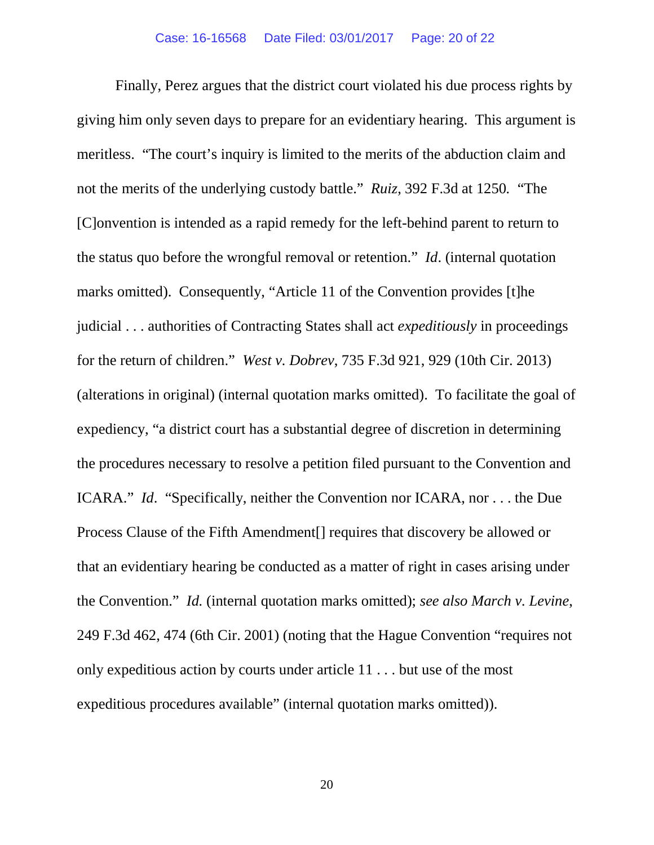Finally, Perez argues that the district court violated his due process rights by giving him only seven days to prepare for an evidentiary hearing. This argument is meritless. "The court's inquiry is limited to the merits of the abduction claim and not the merits of the underlying custody battle." *Ruiz*, 392 F.3d at 1250*.* "The [C]onvention is intended as a rapid remedy for the left-behind parent to return to the status quo before the wrongful removal or retention." *Id*. (internal quotation marks omitted). Consequently, "Article 11 of the Convention provides [t]he judicial . . . authorities of Contracting States shall act *expeditiously* in proceedings for the return of children." *West v. Dobrev*, 735 F.3d 921, 929 (10th Cir. 2013) (alterations in original) (internal quotation marks omitted). To facilitate the goal of expediency, "a district court has a substantial degree of discretion in determining the procedures necessary to resolve a petition filed pursuant to the Convention and ICARA." *Id*. "Specifically, neither the Convention nor ICARA, nor . . . the Due Process Clause of the Fifth Amendment[] requires that discovery be allowed or that an evidentiary hearing be conducted as a matter of right in cases arising under the Convention." *Id.* (internal quotation marks omitted); *see also March v. Levine*, 249 F.3d 462, 474 (6th Cir. 2001) (noting that the Hague Convention "requires not only expeditious action by courts under article 11 . . . but use of the most expeditious procedures available" (internal quotation marks omitted)).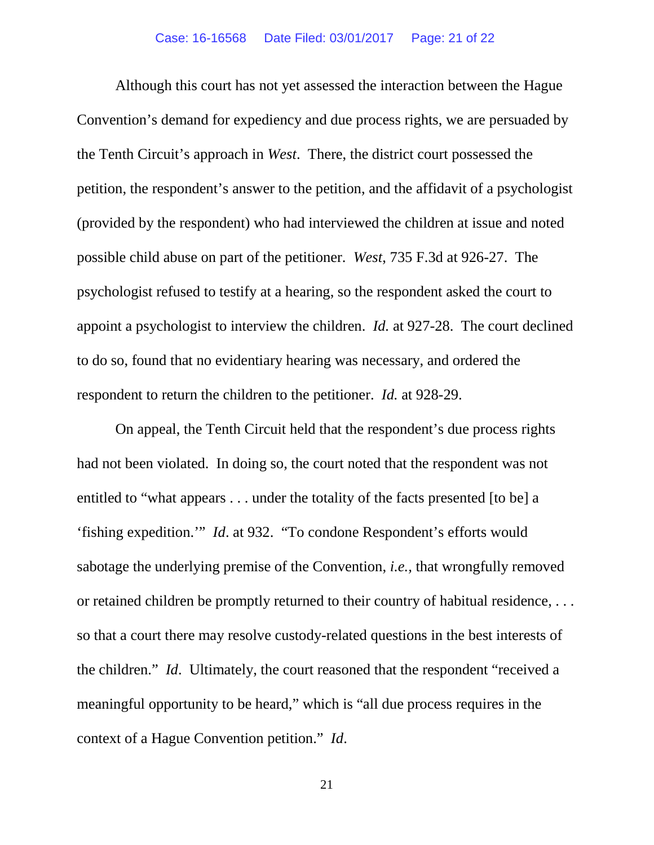Although this court has not yet assessed the interaction between the Hague Convention's demand for expediency and due process rights, we are persuaded by the Tenth Circuit's approach in *West*. There, the district court possessed the petition, the respondent's answer to the petition, and the affidavit of a psychologist (provided by the respondent) who had interviewed the children at issue and noted possible child abuse on part of the petitioner. *West*, 735 F.3d at 926-27. The psychologist refused to testify at a hearing, so the respondent asked the court to appoint a psychologist to interview the children. *Id.* at 927-28. The court declined to do so, found that no evidentiary hearing was necessary, and ordered the respondent to return the children to the petitioner. *Id.* at 928-29.

On appeal, the Tenth Circuit held that the respondent's due process rights had not been violated. In doing so, the court noted that the respondent was not entitled to "what appears . . . under the totality of the facts presented [to be] a 'fishing expedition.'" *Id*. at 932. "To condone Respondent's efforts would sabotage the underlying premise of the Convention, *i.e.,* that wrongfully removed or retained children be promptly returned to their country of habitual residence, . . . so that a court there may resolve custody-related questions in the best interests of the children." *Id*. Ultimately, the court reasoned that the respondent "received a meaningful opportunity to be heard," which is "all due process requires in the context of a Hague Convention petition." *Id*.